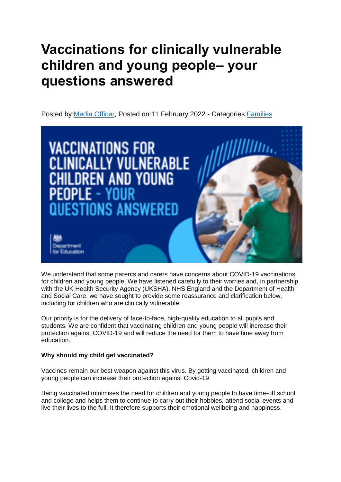# **Vaccinations for clinically vulnerable children and young people– your questions answered**

Posted by[:Media Officer,](https://educationhub.blog.gov.uk/author/mikepyle/) Posted on:11 February 2022 - Categories[:Families](https://educationhub.blog.gov.uk/category/families/)



We understand that some parents and carers have concerns about COVID-19 vaccinations for children and young people. We have listened carefully to their worries and, in partnership with the UK Health Security Agency (UKSHA), NHS England and the Department of Health and Social Care, we have sought to provide some reassurance and clarification below, including for children who are clinically vulnerable.

Our priority is for the delivery of face-to-face, high-quality education to all pupils and students. We are confident that vaccinating children and young people will increase their protection against COVID-19 and will reduce the need for them to have time away from education.

## **Why should my child get vaccinated?**

Vaccines remain our best weapon against this virus. By getting vaccinated, children and young people can increase their protection against Covid-19.

Being vaccinated minimises the need for children and young people to have time-off school and college and helps them to continue to carry out their hobbies, attend social events and live their lives to the full. It therefore supports their emotional wellbeing and happiness.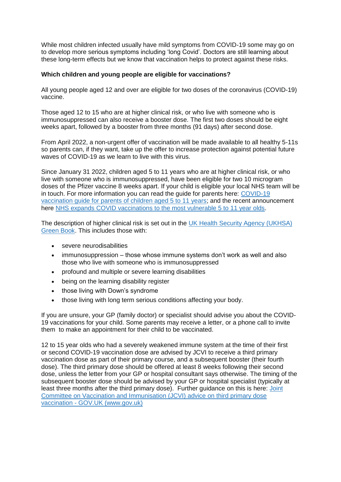While most children infected usually have mild symptoms from COVID-19 some may go on to develop more serious symptoms including 'long Covid'. Doctors are still learning about these long-term effects but we know that vaccination helps to protect against these risks.

#### **Which children and young people are eligible for vaccinations?**

All young people aged 12 and over are eligible for two doses of the coronavirus (COVID-19) vaccine.

Those aged 12 to 15 who are at higher clinical risk, or who live with someone who is immunosuppressed can also receive a booster dose. The first two doses should be eight weeks apart, followed by a booster from three months (91 days) after second dose.

From April 2022, a non-urgent offer of vaccination will be made available to all healthy 5-11s so parents can, if they want, take up the offer to increase protection against potential future waves of COVID-19 as we learn to live with this virus.

Since January 31 2022, children aged 5 to 11 years who are at higher clinical risk, or who live with someone who is immunosuppressed, have been eligible for two 10 microgram doses of the Pfizer vaccine 8 weeks apart. If your child is eligible your local NHS team will be in touch. For more information you can read the guide for parents here: [COVID-19](https://www.gov.uk/government/publications/covid-19-vaccination-resources-for-children-aged-5-to-11-years)  [vaccination guide for parents of children aged 5 to 11 years;](https://www.gov.uk/government/publications/covid-19-vaccination-resources-for-children-aged-5-to-11-years) and the recent announcement here [NHS expands COVID vaccinations to the most vulnerable 5 to 11 year olds.](https://www.england.nhs.uk/2022/01/nhs-expands-covid-vaccinations-to-the-most-vulnerable-5-to-11-year-olds/)

The description of higher clinical risk is set out in the [UK Health Security Agency \(UKHSA\)](https://www.gov.uk/government/publications/covid-19-the-green-book-chapter-14a)  [Green Book.](https://www.gov.uk/government/publications/covid-19-the-green-book-chapter-14a) This includes those with:

- severe neurodisabilities
- immunosuppression those whose immune systems don't work as well and also those who live with someone who is immunosuppressed
- profound and multiple or severe learning disabilities
- being on the learning disability register
- those living with Down's syndrome
- those living with long term serious conditions affecting your body.

If you are unsure, your GP (family doctor) or specialist should advise you about the COVID-19 vaccinations for your child. Some parents may receive a letter, or a phone call to invite them to make an appointment for their child to be vaccinated.

12 to 15 year olds who had a severely weakened immune system at the time of their first or second COVID-19 vaccination dose are advised by JCVI to receive a third primary vaccination dose as part of their primary course, and a subsequent booster (their fourth dose). The third primary dose should be offered at least 8 weeks following their second dose, unless the letter from your GP or hospital consultant says otherwise. The timing of the subsequent booster dose should be advised by your GP or hospital specialist (typically at least three months after the third primary dose). Further guidance on this is here: [Joint](https://www.gov.uk/government/publications/third-primary-covid-19-vaccine-dose-for-people-who-are-immunosuppressed-jcvi-advice/joint-committee-on-vaccination-and-immunisation-jcvi-advice-on-third-primary-dose-vaccination)  [Committee on Vaccination and Immunisation \(JCVI\) advice on third primary dose](https://www.gov.uk/government/publications/third-primary-covid-19-vaccine-dose-for-people-who-are-immunosuppressed-jcvi-advice/joint-committee-on-vaccination-and-immunisation-jcvi-advice-on-third-primary-dose-vaccination)  vaccination - [GOV.UK \(www.gov.uk\)](https://www.gov.uk/government/publications/third-primary-covid-19-vaccine-dose-for-people-who-are-immunosuppressed-jcvi-advice/joint-committee-on-vaccination-and-immunisation-jcvi-advice-on-third-primary-dose-vaccination)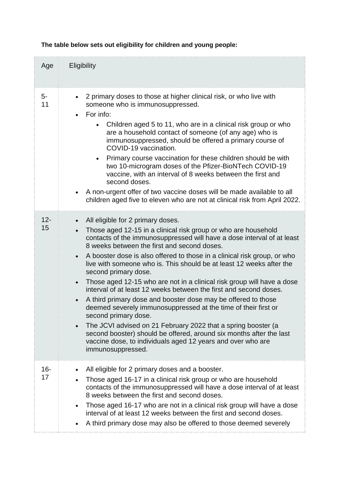| Age          | Eligibility                                                                                                                                                                                                                                                                                                                                                                                                                                                                                                                                                                                                                                                                                                                                                                                                                                                                                                                                                                                                     |
|--------------|-----------------------------------------------------------------------------------------------------------------------------------------------------------------------------------------------------------------------------------------------------------------------------------------------------------------------------------------------------------------------------------------------------------------------------------------------------------------------------------------------------------------------------------------------------------------------------------------------------------------------------------------------------------------------------------------------------------------------------------------------------------------------------------------------------------------------------------------------------------------------------------------------------------------------------------------------------------------------------------------------------------------|
| 5-<br>11     | 2 primary doses to those at higher clinical risk, or who live with<br>someone who is immunosuppressed.<br>For info:<br>$\bullet$<br>Children aged 5 to 11, who are in a clinical risk group or who<br>are a household contact of someone (of any age) who is<br>immunosuppressed, should be offered a primary course of<br>COVID-19 vaccination.<br>Primary course vaccination for these children should be with<br>two 10-microgram doses of the Pfizer-BioNTech COVID-19<br>vaccine, with an interval of 8 weeks between the first and<br>second doses.<br>A non-urgent offer of two vaccine doses will be made available to all<br>children aged five to eleven who are not at clinical risk from April 2022.                                                                                                                                                                                                                                                                                                |
| $12 -$<br>15 | All eligible for 2 primary doses.<br>$\bullet$<br>Those aged 12-15 in a clinical risk group or who are household<br>contacts of the immunosuppressed will have a dose interval of at least<br>8 weeks between the first and second doses.<br>A booster dose is also offered to those in a clinical risk group, or who<br>$\bullet$<br>live with someone who is. This should be at least 12 weeks after the<br>second primary dose.<br>Those aged 12-15 who are not in a clinical risk group will have a dose<br>$\bullet$<br>interval of at least 12 weeks between the first and second doses.<br>A third primary dose and booster dose may be offered to those<br>$\bullet$<br>deemed severely immunosuppressed at the time of their first or<br>second primary dose.<br>The JCVI advised on 21 February 2022 that a spring booster (a<br>$\bullet$<br>second booster) should be offered, around six months after the last<br>vaccine dose, to individuals aged 12 years and over who are<br>immunosuppressed. |
| 16-<br>17    | All eligible for 2 primary doses and a booster.<br>$\bullet$<br>Those aged 16-17 in a clinical risk group or who are household<br>$\bullet$<br>contacts of the immunosuppressed will have a dose interval of at least<br>8 weeks between the first and second doses.<br>Those aged 16-17 who are not in a clinical risk group will have a dose<br>$\bullet$<br>interval of at least 12 weeks between the first and second doses.<br>A third primary dose may also be offered to those deemed severely<br>$\bullet$                                                                                                                                                                                                                                                                                                                                                                                                                                                                                              |

**The table below sets out eligibility for children and young people:**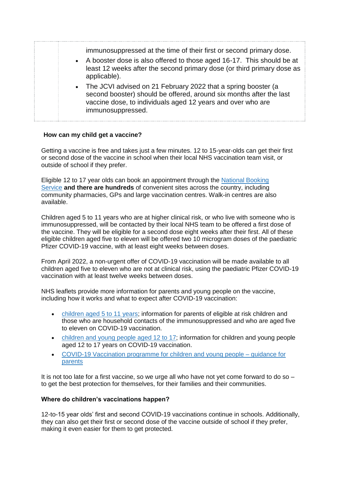| immunosuppressed at the time of their first or second primary dose.<br>• A booster dose is also offered to those aged 16-17. This should be at<br>least 12 weeks after the second primary dose (or third primary dose as<br>applicable).<br>• The JCVI advised on 21 February 2022 that a spring booster (a<br>second booster) should be offered, around six months after the last<br>vaccine dose, to individuals aged 12 years and over who are<br>immunosuppressed. |  |
|------------------------------------------------------------------------------------------------------------------------------------------------------------------------------------------------------------------------------------------------------------------------------------------------------------------------------------------------------------------------------------------------------------------------------------------------------------------------|--|
|------------------------------------------------------------------------------------------------------------------------------------------------------------------------------------------------------------------------------------------------------------------------------------------------------------------------------------------------------------------------------------------------------------------------------------------------------------------------|--|

#### **How can my child get a vaccine?**

Getting a vaccine is free and takes just a few minutes. 12 to 15-year-olds can get their first or second dose of the vaccine in school when their local NHS vaccination team visit, or outside of school if they prefer.

Eligible 12 to 17 year olds can book an appointment through the [National Booking](https://digital.nhs.uk/coronavirus/vaccinations/national-booking-service)  [Service](https://digital.nhs.uk/coronavirus/vaccinations/national-booking-service) **and there are hundreds** of convenient sites across the country, including community pharmacies, GPs and large vaccination centres. Walk-in centres are also available.

Children aged 5 to 11 years who are at higher clinical risk, or who live with someone who is immunosuppressed, will be contacted by their local NHS team to be offered a first dose of the vaccine. They will be eligible for a second dose eight weeks after their first. All of these eligible children aged five to eleven will be offered two 10 microgram doses of the paediatric Pfizer COVID-19 vaccine, with at least eight weeks between doses.

From April 2022, a non-urgent offer of COVID-19 vaccination will be made available to all children aged five to eleven who are not at clinical risk, using the paediatric Pfizer COVID-19 vaccination with at least twelve weeks between doses.

NHS leaflets provide more information for parents and young people on the vaccine, including how it works and what to expect after COVID-19 vaccination:

- [children aged 5 to 11 years;](https://www.gov.uk/government/publications/covid-19-vaccination-resources-for-children-aged-5-to-11-years) information for parents of eligible at risk children and those who are household contacts of the immunosuppressed and who are aged five to eleven on COVID-19 vaccination.
- [children and young people aged 12 to 17;](https://www.gov.uk/government/publications/covid-19-vaccination-resources-for-children-and-young-people) information for children and young people aged 12 to 17 years on COVID-19 vaccination.
- [COVID-19 Vaccination programme for children and young people –](https://assets.publishing.service.gov.uk/government/uploads/system/uploads/attachment_data/file/1042559/UKHSA-12222-COVID-19-parent-leaflet-v3.pdf) guidance for [parents](https://assets.publishing.service.gov.uk/government/uploads/system/uploads/attachment_data/file/1042559/UKHSA-12222-COVID-19-parent-leaflet-v3.pdf)

It is not too late for a first vaccine, so we urge all who have not yet come forward to do so – to get the best protection for themselves, for their families and their communities.

#### **Where do children's vaccinations happen?**

12-to-15 year olds' first and second COVID-19 vaccinations continue in schools. Additionally, they can also get their first or second dose of the vaccine outside of school if they prefer, making it even easier for them to get protected.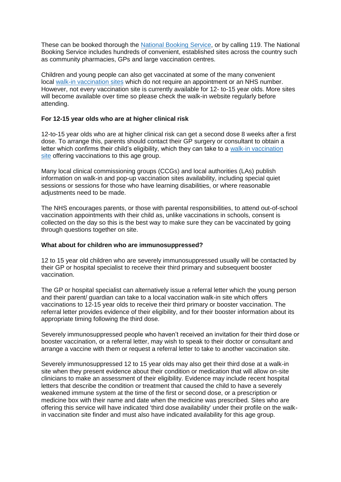These can be booked thorough the [National Booking Service,](https://digital.nhs.uk/coronavirus/vaccinations/national-booking-service) or by calling 119. The National Booking Service includes hundreds of convenient, established sites across the country such as community pharmacies, GPs and large vaccination centres.

Children and young people can also get vaccinated at some of the many convenient local [walk-in vaccination sites](https://www.nhs.uk/conditions/coronavirus-covid-19/coronavirus-vaccination/find-a-walk-in-coronavirus-covid-19-vaccination-site/) which do not require an appointment or an NHS number. However, not every vaccination site is currently available for 12- to-15 year olds. More sites will become available over time so please check the walk-in website regularly before attending.

#### **For 12-15 year olds who are at higher clinical risk**

12-to-15 year olds who are at higher clinical risk can get a second dose 8 weeks after a first dose. To arrange this, parents should contact their GP surgery or consultant to obtain a letter which confirms their child's eligibility, which they can take to a [walk-in vaccination](https://www.nhs.uk/conditions/coronavirus-covid-19/coronavirus-vaccination/find-a-walk-in-coronavirus-covid-19-vaccination-site/)  [site](https://www.nhs.uk/conditions/coronavirus-covid-19/coronavirus-vaccination/find-a-walk-in-coronavirus-covid-19-vaccination-site/) offering vaccinations to this age group.

Many local clinical commissioning groups (CCGs) and local authorities (LAs) publish information on walk-in and pop-up vaccination sites availability, including special quiet sessions or sessions for those who have learning disabilities, or where reasonable adjustments need to be made.

The NHS encourages parents, or those with parental responsibilities, to attend out-of-school vaccination appointments with their child as, unlike vaccinations in schools, consent is collected on the day so this is the best way to make sure they can be vaccinated by going through questions together on site.

#### **What about for children who are immunosuppressed?**

12 to 15 year old children who are severely immunosuppressed usually will be contacted by their GP or hospital specialist to receive their third primary and subsequent booster vaccination.

The GP or hospital specialist can alternatively issue a referral letter which the young person and their parent/ guardian can take to a local vaccination walk-in site which offers vaccinations to 12-15 year olds to receive their third primary or booster vaccination. The referral letter provides evidence of their eligibility, and for their booster information about its appropriate timing following the third dose.

Severely immunosuppressed people who haven't received an invitation for their third dose or booster vaccination, or a referral letter, may wish to speak to their doctor or consultant and arrange a vaccine with them or request a referral letter to take to another vaccination site.

Severely immunosuppressed 12 to 15 year olds may also get their third dose at a walk-in site when they present evidence about their condition or medication that will allow on-site clinicians to make an assessment of their eligibility. Evidence may include recent hospital letters that describe the condition or treatment that caused the child to have a severely weakened immune system at the time of the first or second dose, or a prescription or medicine box with their name and date when the medicine was prescribed. Sites who are offering this service will have indicated 'third dose availability' under their profile on the walkin vaccination site finder and must also have indicated availability for this age group.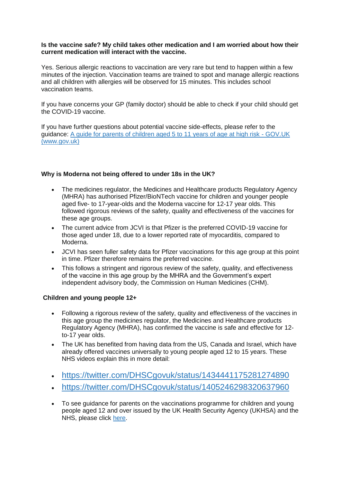#### **Is the vaccine safe? My child takes other medication and I am worried about how their current medication will interact with the vaccine.**

Yes. Serious allergic reactions to vaccination are very rare but tend to happen within a few minutes of the injection. Vaccination teams are trained to spot and manage allergic reactions and all children with allergies will be observed for 15 minutes. This includes school vaccination teams.

If you have concerns your GP (family doctor) should be able to check if your child should get the COVID-19 vaccine.

If you have further questions about potential vaccine side-effects, please refer to the guidance: [A guide for parents of children aged 5 to 11 years of age at high risk -](https://www.gov.uk/government/publications/covid-19-vaccination-resources-for-children-aged-5-to-11-years/a-guide-for-parents-of-children-aged-5-to-11-years-of-age-at-high-risk) GOV.UK [\(www.gov.uk\)](https://www.gov.uk/government/publications/covid-19-vaccination-resources-for-children-aged-5-to-11-years/a-guide-for-parents-of-children-aged-5-to-11-years-of-age-at-high-risk)

#### **Why is Moderna not being offered to under 18s in the UK?**

- The medicines regulator, the Medicines and Healthcare products Regulatory Agency (MHRA) has authorised Pfizer/BioNTech vaccine for children and younger people aged five- to 17-year-olds and the Moderna vaccine for 12-17 year olds. This followed rigorous reviews of the safety, quality and effectiveness of the vaccines for these age groups.
- The current advice from JCVI is that Pfizer is the preferred COVID-19 vaccine for those aged under 18, due to a lower reported rate of myocarditis, compared to Moderna.
- JCVI has seen fuller safety data for Pfizer vaccinations for this age group at this point in time. Pfizer therefore remains the preferred vaccine.
- This follows a stringent and rigorous review of the safety, quality, and effectiveness of the vaccine in this age group by the MHRA and the Government's expert independent advisory body, the Commission on Human Medicines (CHM).

#### **Children and young people 12+**

- Following a rigorous review of the safety, quality and effectiveness of the vaccines in this age group the medicines regulator, the Medicines and Healthcare products Regulatory Agency (MHRA), has confirmed the vaccine is safe and effective for 12 to-17 year olds.
- The UK has benefited from having data from the US, Canada and Israel, which have already offered vaccines universally to young people aged 12 to 15 years. These NHS videos explain this in more detail:
- <https://twitter.com/DHSCgovuk/status/1434441175281274890>
- <https://twitter.com/DHSCgovuk/status/1405246298320637960>
- To see guidance for parents on the vaccinations programme for children and young people aged 12 and over issued by the UK Health Security Agency (UKHSA) and the NHS, please click [here.](https://assets.publishing.service.gov.uk/government/uploads/system/uploads/attachment_data/file/1042559/UKHSA-12222-COVID-19-parent-leaflet-v3.pdf)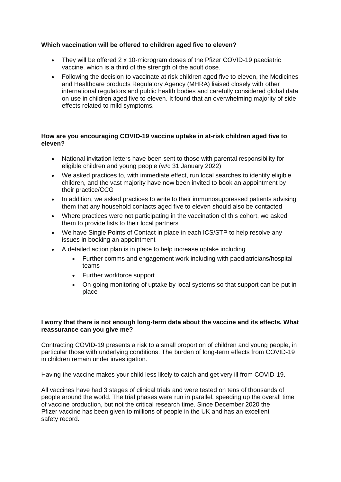## **Which vaccination will be offered to children aged five to eleven?**

- They will be offered 2 x 10-microgram doses of the Pfizer COVID-19 paediatric vaccine, which is a third of the strength of the adult dose.
- Following the decision to vaccinate at risk children aged five to eleven, the Medicines and Healthcare products Regulatory Agency (MHRA) liaised closely with other international regulators and public health bodies and carefully considered global data on use in children aged five to eleven. It found that an overwhelming majority of side effects related to mild symptoms.

## **How are you encouraging COVID-19 vaccine uptake in at-risk children aged five to eleven?**

- National invitation letters have been sent to those with parental responsibility for eligible children and young people (w/c 31 January 2022)
- We asked practices to, with immediate effect, run local searches to identify eligible children, and the vast majority have now been invited to book an appointment by their practice/CCG
- In addition, we asked practices to write to their immunosuppressed patients advising them that any household contacts aged five to eleven should also be contacted
- Where practices were not participating in the vaccination of this cohort, we asked them to provide lists to their local partners
- We have Single Points of Contact in place in each ICS/STP to help resolve any issues in booking an appointment
- A detailed action plan is in place to help increase uptake including
	- Further comms and engagement work including with paediatricians/hospital teams
	- Further workforce support
	- On-going monitoring of uptake by local systems so that support can be put in place

#### **I worry that there is not enough long-term data about the vaccine and its effects. What reassurance can you give me?**

Contracting COVID-19 presents a risk to a small proportion of children and young people, in particular those with underlying conditions. The burden of long-term effects from COVID-19 in children remain under investigation.

Having the vaccine makes your child less likely to catch and get very ill from COVID-19.

All vaccines have had 3 stages of clinical trials and were tested on tens of thousands of people around the world. The trial phases were run in parallel, speeding up the overall time of vaccine production, but not the critical research time. Since December 2020 the Pfizer vaccine has been given to millions of people in the UK and has an excellent safety record.